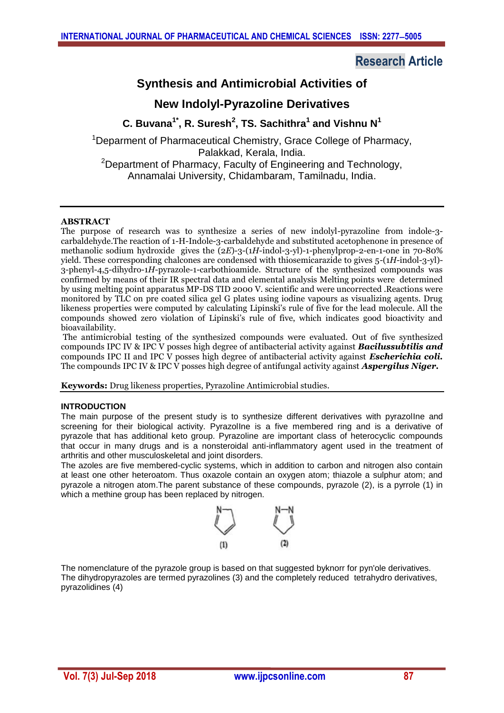# **Research Article**

# **Synthesis and Antimicrobial Activities of**

## **New Indolyl-Pyrazoline Derivatives**

## **C. Buvana1\* , R. Suresh<sup>2</sup> , TS. Sachithra<sup>1</sup> and Vishnu N<sup>1</sup>**

<sup>1</sup>Deparment of Pharmaceutical Chemistry, Grace College of Pharmacy, Palakkad, Kerala, India. <sup>2</sup>Department of Pharmacy, Faculty of Engineering and Technology, Annamalai University, Chidambaram, Tamilnadu, India.

## **ABSTRACT**

The purpose of research was to synthesize a series of new indolyl-pyrazoline from indole-3 carbaldehyde.The reaction of 1-H-Indole-3-carbaldehyde and substituted acetophenone in presence of methanolic sodium hydroxide gives the (2*E*)-3-(1*H*-indol-3-yl)-1-phenylprop-2-en-1-one in 70-80% yield. These corresponding chalcones are condensed with thiosemicarazide to gives 5-(1*H*-indol-3-yl)- 3-phenyl-4,5-dihydro-1*H*-pyrazole-1-carbothioamide. Structure of the synthesized compounds was confirmed by means of their IR spectral data and elemental analysis Melting points were determined by using melting point apparatus MP-DS TID 2000 V. scientific and were uncorrected .Reactions were monitored by TLC on pre coated silica gel G plates using iodine vapours as visualizing agents. Drug likeness properties were computed by calculating Lipinski's rule of five for the lead molecule. All the compounds showed zero violation of Lipinski's rule of five, which indicates good bioactivity and bioavailability.

The antimicrobial testing of the synthesized compounds were evaluated. Out of five synthesized compounds IPC IV & IPC V posses high degree of antibacterial activity against *Bacilussubtilis and* compounds IPC II and IPC V posses high degree of antibacterial activity against *Escherichia coli.* The compounds IPC IV & IPC V posses high degree of antifungal activity against *Aspergilus Niger.*

**Keywords:** Drug likeness properties, Pyrazoline Antimicrobial studies.

## **INTRODUCTION**

The main purpose of the present study is to synthesize different derivatives with pyrazolIne and screening for their biological activity. PyrazolIne is a five membered ring and is a derivative of pyrazole that has additional keto group. Pyrazoline are important class of heterocyclic compounds that occur in many drugs and is a nonsteroidal anti-inflammatory agent used in the treatment of arthritis and other musculoskeletal and joint disorders.

The azoles are five membered-cyclic systems, which in addition to carbon and nitrogen also contain at least one other heteroatom. Thus oxazole contain an oxygen atom; thiazole a sulphur atom; and pyrazole a nitrogen atom.The parent substance of these compounds, pyrazole (2), is a pyrrole (1) in which a methine group has been replaced by nitrogen.



The nomenclature of the pyrazole group is based on that suggested byknorr for pyn'ole derivatives. The dihydropyrazoles are termed pyrazolines (3) and the completely reduced tetrahydro derivatives, pyrazolidines (4)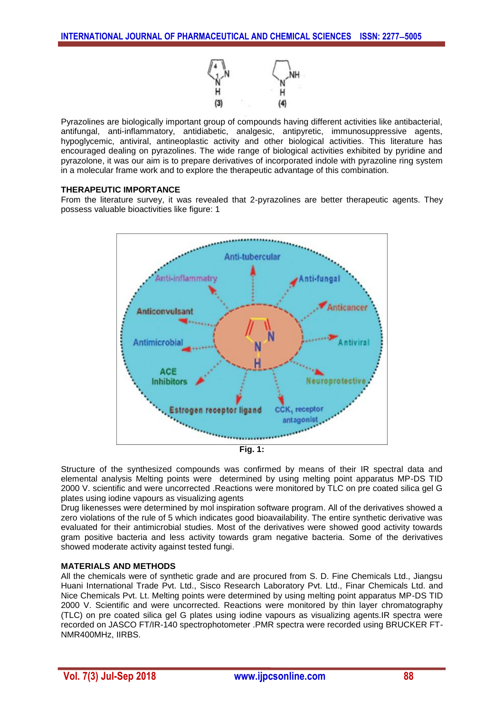

Pyrazolines are biologically important group of compounds having different activities like antibacterial, antifungal, anti-inflammatory, antidiabetic, analgesic, antipyretic, immunosuppressive agents, hypoglycemic, antiviral, antineoplastic activity and other biological activities. This literature has encouraged dealing on pyrazolines. The wide range of biological activities exhibited by pyridine and pyrazolone, it was our aim is to prepare derivatives of incorporated indole with pyrazoline ring system in a molecular frame work and to explore the therapeutic advantage of this combination.

## **THERAPEUTIC IMPORTANCE**

From the literature survey, it was revealed that 2-pyrazolines are better therapeutic agents. They possess valuable bioactivities like figure: 1





Structure of the synthesized compounds was confirmed by means of their IR spectral data and elemental analysis Melting points were determined by using melting point apparatus MP-DS TID 2000 V. scientific and were uncorrected .Reactions were monitored by TLC on pre coated silica gel G plates using iodine vapours as visualizing agents

Drug likenesses were determined by mol inspiration software program. All of the derivatives showed a zero violations of the rule of 5 which indicates good bioavailability. The entire synthetic derivative was evaluated for their antimicrobial studies. Most of the derivatives were showed good activity towards gram positive bacteria and less activity towards gram negative bacteria. Some of the derivatives showed moderate activity against tested fungi.

## **MATERIALS AND METHODS**

All the chemicals were of synthetic grade and are procured from S. D. Fine Chemicals Ltd., Jiangsu Huani International Trade Pvt. Ltd., Sisco Research Laboratory Pvt. Ltd., Finar Chemicals Ltd. and Nice Chemicals Pvt. Lt. Melting points were determined by using melting point apparatus MP-DS TID 2000 V. Scientific and were uncorrected. Reactions were monitored by thin layer chromatography (TLC) on pre coated silica gel G plates using iodine vapours as visualizing agents.IR spectra were recorded on JASCO FT/IR-140 spectrophotometer .PMR spectra were recorded using BRUCKER FT-NMR400MHz, IIRBS.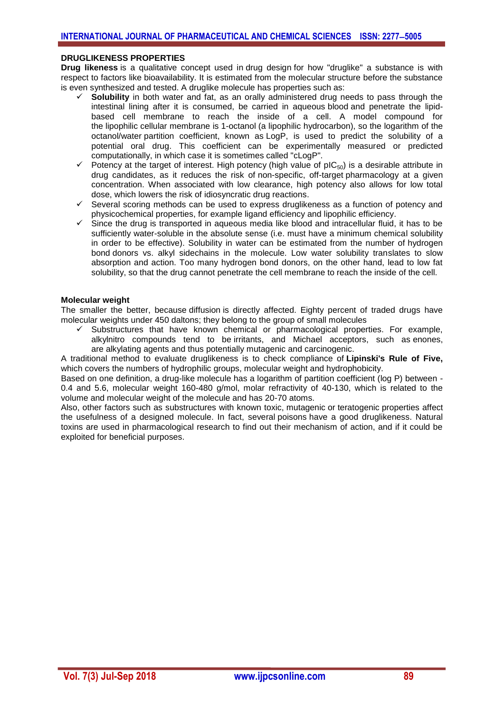#### **DRUGLIKENESS PROPERTIES**

**Drug likeness** is a qualitative concept used in [drug design](http://www.writeopinions.com/drug-design) for how "druglike" a substance is with respect to factors like [bioavailability.](http://www.writeopinions.com/bioavailability) It is estimated from the molecular structure before the substance is even synthesized and tested. A druglike molecule has properties such as:

- **Solubility** in both water and fat, as an orally administered drug needs to pass through the intestinal lining after it is consumed, be carried in aqueous [blood](http://www.writeopinions.com/blood) and penetrate the lipidbased cell membrane to reach the inside of a cell. A model compound for the [lipophilic](http://www.writeopinions.com/lipophile) cellular membrane is [1-octanol](http://www.writeopinions.com/1-octanol) (a lipophilic hydrocarbon), so the logarithm of the octanol/water [partition coefficient,](http://www.writeopinions.com/partition-coefficient) known as [LogP,](http://www.writeopinions.com/partition-coefficient) is used to predict the solubility of a potential oral drug. This coefficient can be experimentally measured or predicted computationally, in which case it is sometimes called "cLogP".
- $\checkmark$  Potency at the target of interest. High [potency](http://www.writeopinions.com/potency-pharmacology) (high value of [pIC](http://www.writeopinions.com/ic50)<sub>50</sub>) is a desirable attribute in drug candidates, as it reduces the risk of [non-specific, off-target](http://www.writeopinions.com/adverse-effect) pharmacology at a given concentration. When associated with low clearance, high potency also allows for low total dose, which lowers the risk of [idiosyncratic drug reactions.](http://www.writeopinions.com/idiosyncratic-drug-reaction)
- $\checkmark$  Several scoring methods can be used to express druglikeness as a function of potency and physicochemical properties, for example [ligand efficiency](http://www.writeopinions.com/ligand-efficiency) and [lipophilic efficiency.](http://www.writeopinions.com/lipophilic-efficiency)
- Since the drug is transported in aqueous media like blood and intracellular fluid, it has to be sufficiently water-soluble in the absolute sense (i.e. must have a minimum chemical solubility in order to be effective). Solubility in water can be estimated from the number of [hydrogen](http://www.writeopinions.com/hydrogen-bond)  [bond](http://www.writeopinions.com/hydrogen-bond) donors vs. alkyl sidechains in the molecule. Low water solubility translates to slow absorption and action. Too many hydrogen bond donors, on the other hand, lead to low fat solubility, so that the drug cannot penetrate the cell membrane to reach the inside of the cell.

#### **Molecular weight**

The smaller the better, because [diffusion](http://www.writeopinions.com/diffusion) is directly affected. Eighty percent of traded drugs have molecular weights under 450 [daltons;](http://www.writeopinions.com/atomic-mass-unit) they belong to the group of [small molecules](http://www.writeopinions.com/small-molecule)

 Substructures that have known chemical or pharmacological properties. For example, alkylnitro compounds tend to be [irritants,](http://www.writeopinions.com/irritation) and Michael acceptors, such as [enones,](http://www.writeopinions.com/enone) are [alkylating agents](http://www.writeopinions.com/alkylating-agent) and thus potentially [mutagenic](http://www.writeopinions.com/mutagenic) and [carcinogenic.](http://www.writeopinions.com/carcinogenic)

A traditional method to evaluate druglikeness is to check compliance of **[Lipinski's Rule of Five,](http://www.writeopinions.com/lipinskis-rule-of-five)** which covers the numbers of hydrophilic groups, molecular weight and hydrophobicity.

Based on one definition, a drug-like molecule has a logarithm of partition coefficient (log P) between - 0.4 and 5.6, molecular weight 160-480 g/mol, molar refractivity of 40-130, which is related to the volume and molecular weight of the molecule and has 20-70 atoms.

Also, other factors such as substructures with known toxic, [mutagenic](http://www.writeopinions.com/mutagen) or [teratogenic](http://www.writeopinions.com/teratology) properties affect the usefulness of a designed molecule. In fact, several [poisons](http://www.writeopinions.com/poison) have a good druglikeness. Natural toxins are used in pharmacological research to find out their mechanism of action, and if it could be exploited for beneficial purposes.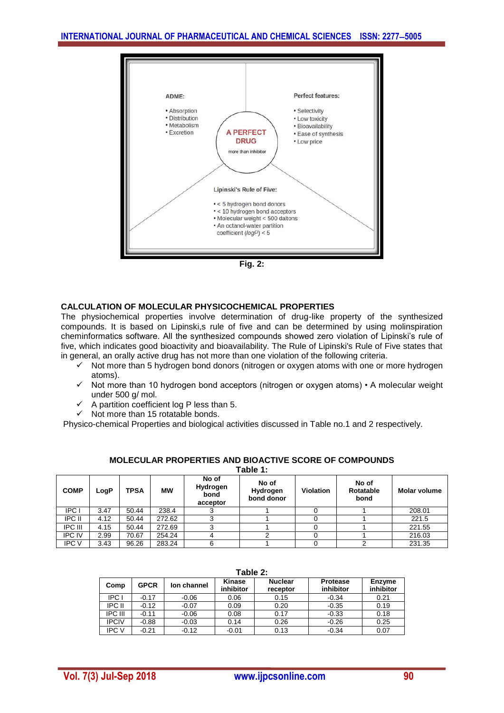

**Fig. 2:**

## **CALCULATION OF MOLECULAR PHYSICOCHEMICAL PROPERTIES**

The physiochemical properties involve determination of drug-like property of the synthesized compounds. It is based on Lipinski,s rule of five and can be determined by using molinspiration cheminformatics software. All the synthesized compounds showed zero violation of Lipinski's rule of five, which indicates good bioactivity and bioavailability. The Rule of Lipinski's Rule of Five states that in general, an orally active drug has not more than one violation of the following criteria.

- $\checkmark$  Not more than 5 hydrogen bond donors (nitrogen or oxygen atoms with one or more hydrogen atoms).
- $\checkmark$  Not more than 10 hydrogen bond acceptors (nitrogen or oxygen atoms) A molecular weight under 500 g/ mol.
- $\checkmark$  A partition coefficient log P less than 5.
- $\checkmark$  Not more than 15 rotatable bonds.

Physico-chemical Properties and biological activities discussed in Table no.1 and 2 respectively.

| Table 1:       |      |             |           |                                       |                                 |           |                            |                     |
|----------------|------|-------------|-----------|---------------------------------------|---------------------------------|-----------|----------------------------|---------------------|
| <b>COMP</b>    | LogP | <b>TPSA</b> | <b>MW</b> | No of<br>Hydrogen<br>bond<br>acceptor | No of<br>Hydrogen<br>bond donor | Violation | No of<br>Rotatable<br>bond | <b>Molar volume</b> |
| <b>IPC</b>     | 3.47 | 50.44       | 238.4     |                                       |                                 |           |                            | 208.01              |
| IPC II         | 4.12 | 50.44       | 272.62    |                                       |                                 |           |                            | 221.5               |
| <b>IPC III</b> | 4.15 | 50.44       | 272.69    |                                       |                                 |           |                            | 221.55              |
| <b>IPC IV</b>  | 2.99 | 70.67       | 254.24    |                                       |                                 |           |                            | 216.03              |
| <b>IPC V</b>   | 3.43 | 96.26       | 283.24    | 6                                     |                                 |           |                            | 231.35              |

#### **MOLECULAR PROPERTIES AND BIOACTIVE SCORE OF COMPOUNDS**

| Table 2:       |             |             |                     |                            |                              |                     |
|----------------|-------------|-------------|---------------------|----------------------------|------------------------------|---------------------|
| Comp           | <b>GPCR</b> | lon channel | Kinase<br>inhibitor | <b>Nuclear</b><br>receptor | <b>Protease</b><br>inhibitor | Enzyme<br>inhibitor |
| IPC I          | $-0.17$     | $-0.06$     | 0.06                | 0.15                       | $-0.34$                      | 0.21                |
| IPC II         | $-0.12$     | $-0.07$     | 0.09                | 0.20                       | $-0.35$                      | 0.19                |
| <b>IPC III</b> | $-0.11$     | $-0.06$     | 0.08                | 0.17                       | $-0.33$                      | 0.18                |
| <b>IPCIV</b>   | $-0.88$     | $-0.03$     | 0.14                | 0.26                       | $-0.26$                      | 0.25                |
| <b>IPC V</b>   | $-0.21$     | $-0.12$     | $-0.01$             | 0.13                       | $-0.34$                      | 0.07                |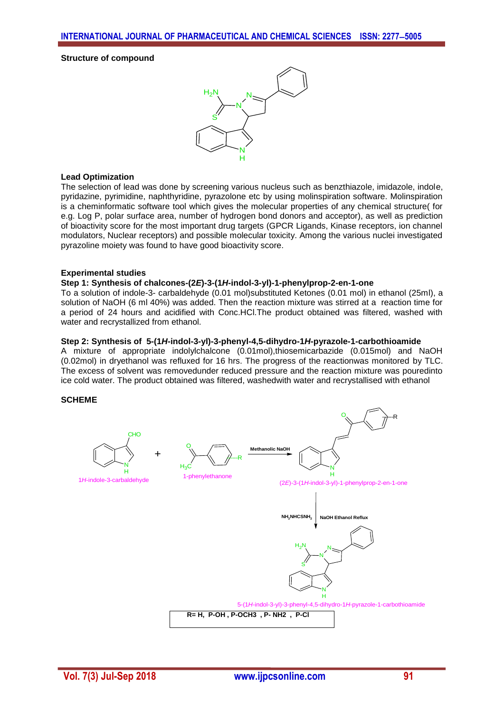#### **Structure of compound**



#### **Lead Optimization**

The selection of lead was done by screening various nucleus such as benzthiazole, imidazole, indole, pyridazine, pyrimidine, naphthyridine, pyrazolone etc by using molinspiration software. Molinspiration is a cheminformatic software tool which gives the molecular properties of any chemical structure( for e.g. Log P, polar surface area, number of hydrogen bond donors and acceptor), as well as prediction of bioactivity score for the most important drug targets (GPCR Ligands, Kinase receptors, ion channel modulators, Nuclear receptors) and possible molecular toxicity. Among the various nuclei investigated pyrazoline moiety was found to have good bioactivity score.

#### **Experimental studies**

#### **Step 1: Synthesis of chalcones-(2***E***)-3-(1***H***-indol-3-yl)-1-phenylprop-2-en-1-one**

To a solution of indole-3- carbaldehyde (0.01 mol)substituted Ketones (0.01 mol) in ethanol (25ml), a solution of NaOH (6 ml 40%) was added. Then the reaction mixture was stirred at a reaction time for a period of 24 hours and acidified with Conc.HCl.The product obtained was filtered, washed with water and recrystallized from ethanol.

#### **Step 2: Synthesis of 5-(1***H***-indol-3-yl)-3-phenyl-4,5-dihydro-1***H***-pyrazole-1-carbothioamide**

A mixture of appropriate indolylchalcone (0.01mol),thiosemicarbazide (0.015mol) and NaOH (0.02mol) in dryethanol was refluxed for 16 hrs. The progress of the reactionwas monitored by TLC. The excess of solvent was removedunder reduced pressure and the reaction mixture was pouredinto ice cold water. The product obtained was filtered, washedwith water and recrystallised with ethanol

#### **SCHEME**

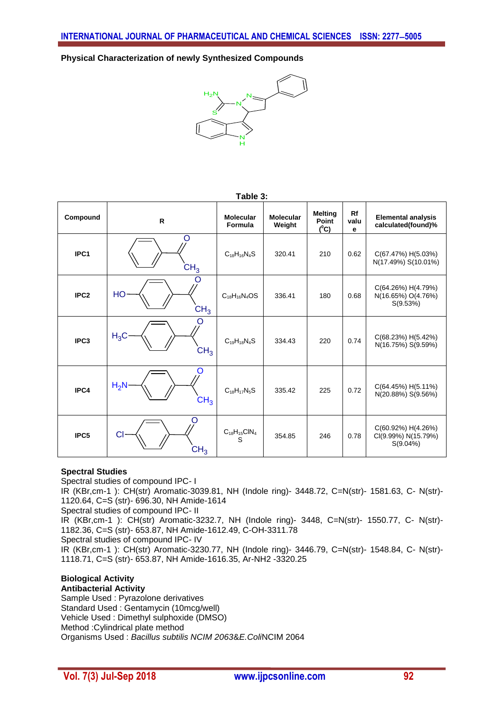**Physical Characterization of newly Synthesized Compounds**



| Table 3:         |                                |                             |                            |                                    |                 |                                                          |
|------------------|--------------------------------|-----------------------------|----------------------------|------------------------------------|-----------------|----------------------------------------------------------|
| Compound         | $\mathsf{R}$                   | <b>Molecular</b><br>Formula | <b>Molecular</b><br>Weight | <b>Melting</b><br>Point<br>$(^0C)$ | Rf<br>valu<br>e | <b>Elemental analysis</b><br>calculated(found)%          |
| IPC1             | O<br>CH <sub>3</sub>           | $C_{18}H_{16}N_4S$          | 320.41                     | 210                                | 0.62            | C(67.47%) H(5.03%)<br>N(17.49%) S(10.01%)                |
| IPC <sub>2</sub> | O<br>HO<br>CH <sub>3</sub>     | $C_{18}H_{16}N_4OS$         | 336.41                     | 180                                | 0.68            | C(64.26%) H(4.79%)<br>N(16.65%) O(4.76%)<br>S(9.53%)     |
| IPC <sub>3</sub> | O<br>$H_3C$<br>CH <sub>3</sub> | $C_{19}H_{18}N_4S$          | 334.43                     | 220                                | 0.74            | C(68.23%) H(5.42%)<br>N(16.75%) S(9.59%)                 |
| IPC4             | O<br>$H_2N$<br>CH <sub>3</sub> | $C_{18}H_{17}N_5S$          | 335.42                     | 225                                | 0.72            | C(64.45%) H(5.11%)<br>N(20.88%) S(9.56%)                 |
| IPC <sub>5</sub> | O<br>CI<br>$\mathsf{CH}_3$     | $C_{18}H_{15}CIN_4$<br>S    | 354.85                     | 246                                | 0.78            | C(60.92%) H(4.26%)<br>CI(9.99%) N(15.79%)<br>$S(9.04\%)$ |

## **Spectral Studies**

Spectral studies of compound IPC- I IR (KBr,cm-1 ): CH(str) Aromatic-3039.81, NH (Indole ring)- 3448.72, C=N(str)- 1581.63, C- N(str)- 1120.64, C=S (str)- 696.30, NH Amide-1614 Spectral studies of compound IPC- II IR (KBr,cm-1 ): CH(str) Aromatic-3232.7, NH (Indole ring)- 3448, C=N(str)- 1550.77, C- N(str)- 1182.36, C=S (str)- 653.87, NH Amide-1612.49, C-OH-3311.78 Spectral studies of compound IPC- IV

IR (KBr,cm-1 ): CH(str) Aromatic-3230.77, NH (Indole ring)- 3446.79, C=N(str)- 1548.84, C- N(str)- 1118.71, C=S (str)- 653.87, NH Amide-1616.35, Ar-NH2 -3320.25

#### **Biological Activity Antibacterial Activity**

Sample Used : Pyrazolone derivatives Standard Used : Gentamycin (10mcg/well) Vehicle Used : Dimethyl sulphoxide (DMSO) Method :Cylindrical plate method Organisms Used : *Bacillus subtilis NCIM 2063*&*E.Coli*NCIM 2064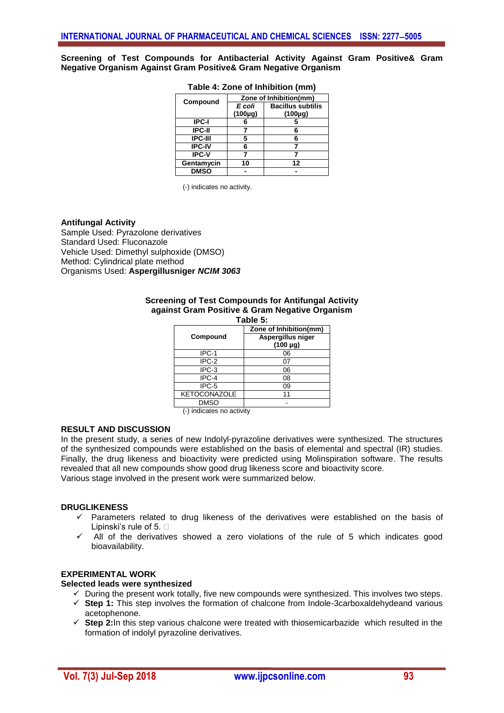**Screening of Test Compounds for Antibacterial Activity Against Gram Positive& Gram Negative Organism Against Gram Positive& Gram Negative Organism**

| Compound       | Zone of Inhibition(mm) |                          |  |  |
|----------------|------------------------|--------------------------|--|--|
|                | E coli                 | <b>Bacillus subtilis</b> |  |  |
|                | $(100\mu g)$           | $(100 \mu g)$            |  |  |
| <b>IPC-I</b>   |                        |                          |  |  |
| <b>IPC-II</b>  |                        |                          |  |  |
| <b>IPC-III</b> | 5                      |                          |  |  |
| <b>IPC-IV</b>  | 6                      |                          |  |  |
| <b>IPC-V</b>   |                        |                          |  |  |
| Gentamycin     | 10                     | 12                       |  |  |
| <b>DMSO</b>    |                        |                          |  |  |

#### **Table 4: Zone of Inhibition (mm)**

(-) indicates no activity.

#### **Antifungal Activity**

Sample Used: Pyrazolone derivatives Standard Used: Fluconazole Vehicle Used: Dimethyl sulphoxide (DMSO) Method: Cylindrical plate method Organisms Used: **Aspergillusniger** *NCIM 3063*

#### **Screening of Test Compounds for Antifungal Activity against Gram Positive & Gram Negative Organism**

| Table 5:            |                                    |  |  |  |
|---------------------|------------------------------------|--|--|--|
|                     | Zone of Inhibition(mm)             |  |  |  |
| Compound            | Aspergillus niger<br>$(100 \mu g)$ |  |  |  |
| IPC-1               | 06                                 |  |  |  |
| IPC-2               | 07                                 |  |  |  |
| IPC-3               | 06                                 |  |  |  |
| IPC-4               | 08                                 |  |  |  |
| IPC-5               | 09                                 |  |  |  |
| <b>KETOCONAZOLE</b> |                                    |  |  |  |
| <b>DMSO</b>         |                                    |  |  |  |

(-) indicates no activity

#### **RESULT AND DISCUSSION**

In the present study, a series of new Indolyl-pyrazoline derivatives were synthesized. The structures of the synthesized compounds were established on the basis of elemental and spectral (IR) studies. Finally, the drug likeness and bioactivity were predicted using Molinspiration software. The results revealed that all new compounds show good drug likeness score and bioactivity score. Various stage involved in the present work were summarized below.

## **DRUGLIKENESS**

- $\checkmark$  Parameters related to drug likeness of the derivatives were established on the basis of Lipinski's rule of 5.  $\Box$
- All of the derivatives showed a zero violations of the rule of 5 which indicates good bioavailability.

#### **EXPERIMENTAL WORK**

#### **Selected leads were synthesized**

- $\checkmark$  During the present work totally, five new compounds were synthesized. This involves two steps.
- **Step 1:** This step involves the formation of chalcone from Indole-3carboxaldehydeand various acetophenone.
- **Step 2:**In this step various chalcone were treated with thiosemicarbazide which resulted in the formation of indolyl pyrazoline derivatives.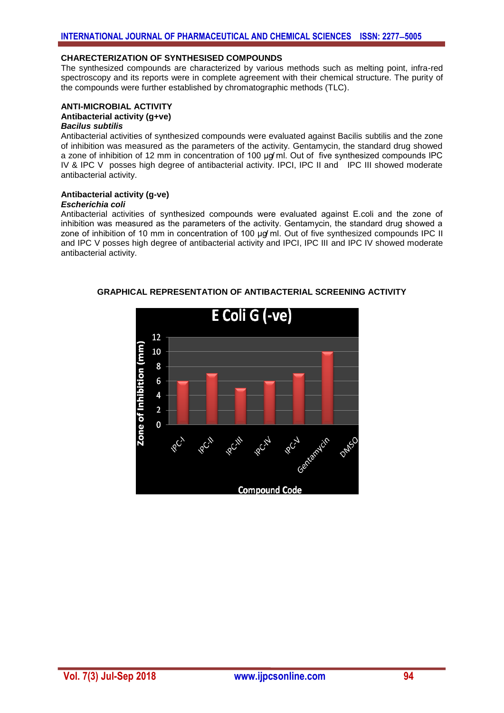## **CHARECTERIZATION OF SYNTHESISED COMPOUNDS**

The synthesized compounds are characterized by various methods such as melting point, infra-red spectroscopy and its reports were in complete agreement with their chemical structure. The purity of the compounds were further established by chromatographic methods (TLC).

#### **ANTI-MICROBIAL ACTIVITY Antibacterial activity (g+ve)**

#### *Bacilus subtilis*

Antibacterial activities of synthesized compounds were evaluated against Bacilis subtilis and the zone of inhibition was measured as the parameters of the activity. Gentamycin, the standard drug showed a zone of inhibition of 12 mm in concentration of 100 ug ml. Out of five synthesized compounds IPC IV & IPC V posses high degree of antibacterial activity. IPCI, IPC II and IPC III showed moderate antibacterial activity.

## **Antibacterial activity (g-ve)**

## *Escherichia coli*

Antibacterial activities of synthesized compounds were evaluated against E.coli and the zone of inhibition was measured as the parameters of the activity. Gentamycin, the standard drug showed a zone of inhibition of 10 mm in concentration of 100  $\mu$ g ml. Out of five synthesized compounds IPC II and IPC V posses high degree of antibacterial activity and IPCI, IPC III and IPC IV showed moderate antibacterial activity.



**GRAPHICAL REPRESENTATION OF ANTIBACTERIAL SCREENING ACTIVITY**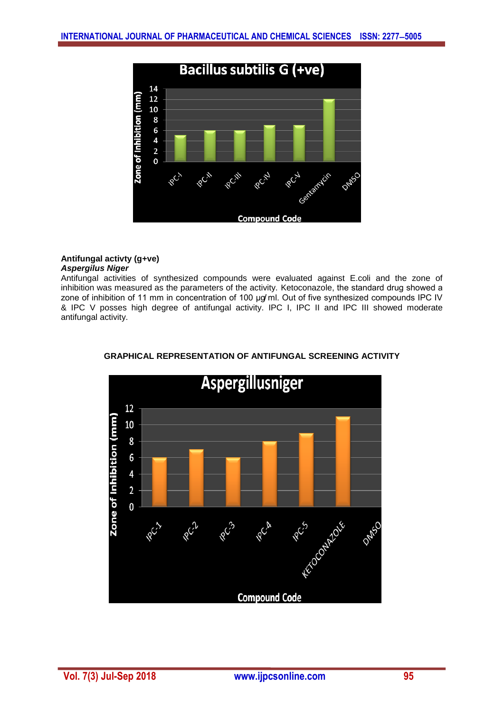

## **Antifungal activty (g+ve)** *Aspergilus Niger*

Antifungal activities of synthesized compounds were evaluated against E.coli and the zone of inhibition was measured as the parameters of the activity. Ketoconazole, the standard drug showed a zone of inhibition of 11 mm in concentration of 100 µg/ml. Out of five synthesized compounds IPC IV & IPC V posses high degree of antifungal activity. IPC I, IPC II and IPC III showed moderate antifungal activity.



**GRAPHICAL REPRESENTATION OF ANTIFUNGAL SCREENING ACTIVITY**